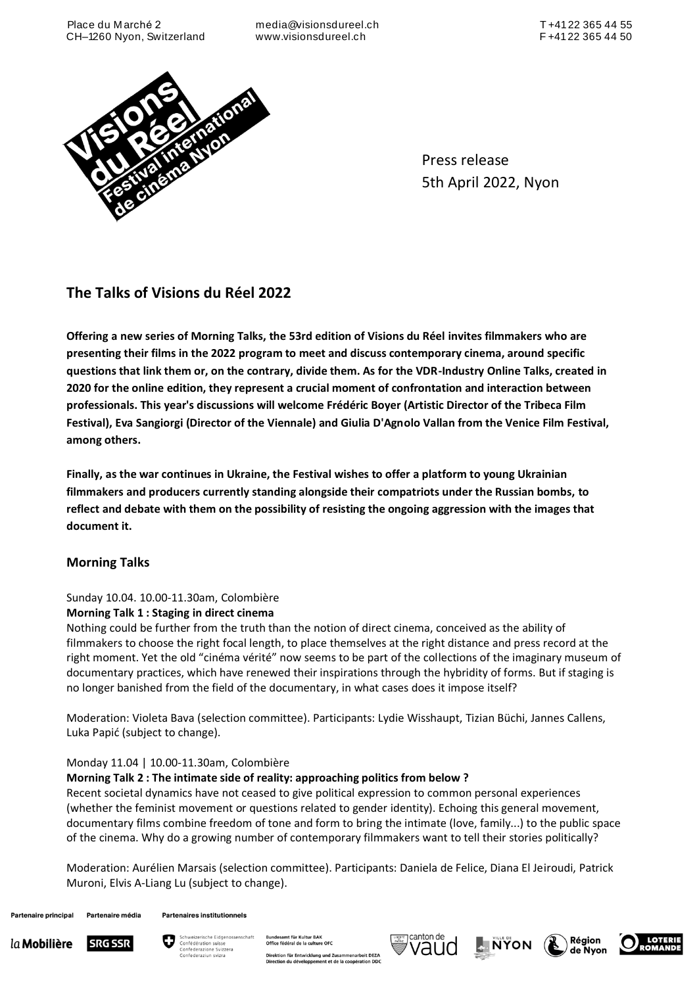media@visionsdureel.ch www.visionsdureel.ch



Press release 5th April 2022, Nyon

# **The Talks of Visions du Réel 2022**

**Offering a new series of Morning Talks, the 53rd edition of Visions du Réel invites filmmakers who are presenting their films in the 2022 program to meet and discuss contemporary cinema, around specific questions that link them or, on the contrary, divide them. As for the VDR-Industry Online Talks, created in 2020 for the online edition, they represent a crucial moment of confrontation and interaction between professionals. This year's discussions will welcome Frédéric Boyer (Artistic Director of the Tribeca Film Festival), Eva Sangiorgi (Director of the Viennale) and Giulia D'Agnolo Vallan from the Venice Film Festival, among others.**

**Finally, as the war continues in Ukraine, the Festival wishes to offer a platform to young Ukrainian filmmakers and producers currently standing alongside their compatriots under the Russian bombs, to reflect and debate with them on the possibility of resisting the ongoing aggression with the images that document it.**

# **Morning Talks**

# Sunday 10.04. 10.00-11.30am, Colombière

## **Morning Talk 1 : Staging in direct cinema**

Nothing could be further from the truth than the notion of direct cinema, conceived as the ability of filmmakers to choose the right focal length, to place themselves at the right distance and press record at the right moment. Yet the old "cinéma vérité" now seems to be part of the collections of the imaginary museum of documentary practices, which have renewed their inspirations through the hybridity of forms. But if staging is no longer banished from the field of the documentary, in what cases does it impose itself?

Moderation: Violeta Bava (selection committee). Participants: Lydie Wisshaupt, Tizian Büchi, Jannes Callens, Luka Papić (subject to change).

# Monday 11.04 | 10.00-11.30am, Colombière

## **Morning Talk 2 : The intimate side of reality: approaching politics from below ?**

Recent societal dynamics have not ceased to give political expression to common personal experiences (whether the feminist movement or questions related to gender identity). Echoing this general movement, documentary films combine freedom of tone and form to bring the intimate (love, family...) to the public space of the cinema. Why do a growing number of contemporary filmmakers want to tell their stories politically?

Moderation: Aurélien Marsais (selection committee). Participants: Daniela de Felice, Diana El Jeiroudi, Patrick Muroni, Elvis A-Liang Lu (subject to change).

Partenaire principal Partenaire média **Partenaires institutionnels** 





iamt für Kultur BAK<br>fédéral de la culture OFC Direktion für Entwicklung und Zusammenarbeit D<br>Direction du développement et de la coopération nenarbeit DEZA







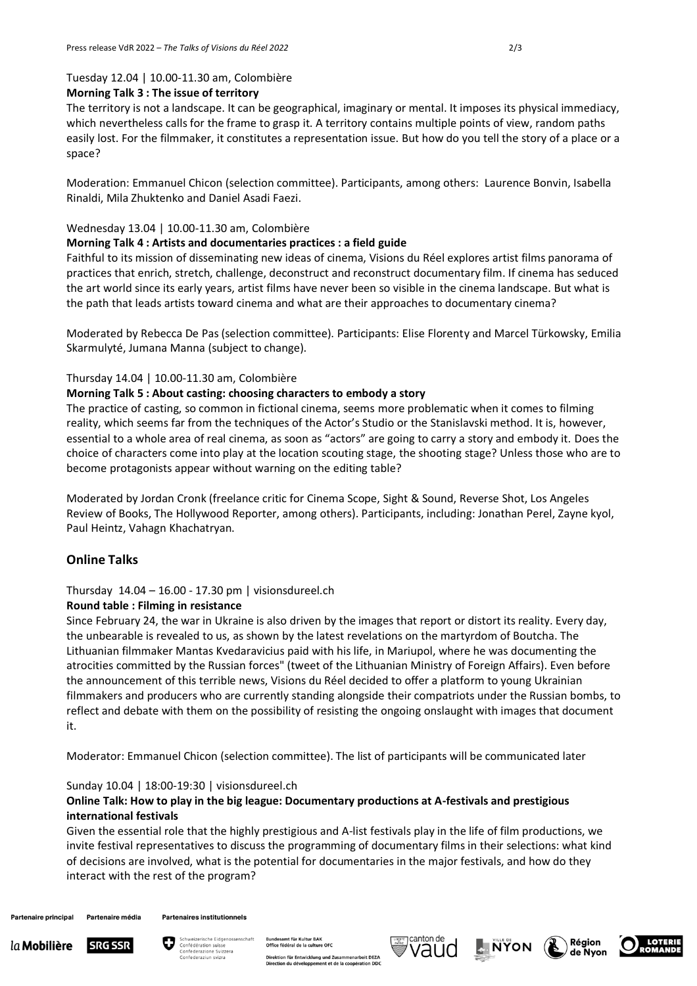### Tuesday 12.04 | 10.00-11.30 am, Colombière

#### **Morning Talk 3 : The issue of territory**

The territory is not a landscape. It can be geographical, imaginary or mental. It imposes its physical immediacy, which nevertheless calls for the frame to grasp it. A territory contains multiple points of view, random paths easily lost. For the filmmaker, it constitutes a representation issue. But how do you tell the story of a place or a space?

Moderation: Emmanuel Chicon (selection committee). Participants, among others: Laurence Bonvin, Isabella Rinaldi, Mila Zhuktenko and Daniel Asadi Faezi.

#### Wednesday 13.04 | 10.00-11.30 am, Colombière

#### **Morning Talk 4 : Artists and documentaries practices : a field guide**

Faithful to its mission of disseminating new ideas of cinema, Visions du Réel explores artist films panorama of practices that enrich, stretch, challenge, deconstruct and reconstruct documentary film. If cinema has seduced the art world since its early years, artist films have never been so visible in the cinema landscape. But what is the path that leads artists toward cinema and what are their approaches to documentary cinema?

Moderated by Rebecca De Pas (selection committee). Participants: Elise Florenty and Marcel Türkowsky, Emilia Skarmulyté, Jumana Manna (subject to change).

#### Thursday 14.04 | 10.00-11.30 am, Colombière

#### **Morning Talk 5 : About casting: choosing characters to embody a story**

The practice of casting, so common in fictional cinema, seems more problematic when it comes to filming reality, which seems far from the techniques of the Actor's Studio or the Stanislavski method. It is, however, essential to a whole area of real cinema, as soon as "actors" are going to carry a story and embody it. Does the choice of characters come into play at the location scouting stage, the shooting stage? Unless those who are to become protagonists appear without warning on the editing table?

Moderated by Jordan Cronk (freelance critic for Cinema Scope, Sight & Sound, Reverse Shot, Los Angeles Review of Books, The Hollywood Reporter, among others). Participants, including: Jonathan Perel, Zayne kyol, Paul Heintz, Vahagn Khachatryan.

## **Online Talks**

# Thursday 14.04 – 16.00 - 17.30 pm | visionsdureel.ch

#### **Round table : Filming in resistance**

Since February 24, the war in Ukraine is also driven by the images that report or distort its reality. Every day, the unbearable is revealed to us, as shown by the latest revelations on the martyrdom of Boutcha. The Lithuanian filmmaker Mantas Kvedaravicius paid with his life, in Mariupol, where he was documenting the atrocities committed by the Russian forces" (tweet of the Lithuanian Ministry of Foreign Affairs). Even before the announcement of this terrible news, Visions du Réel decided to offer a platform to young Ukrainian filmmakers and producers who are currently standing alongside their compatriots under the Russian bombs, to reflect and debate with them on the possibility of resisting the ongoing onslaught with images that document it.

Moderator: Emmanuel Chicon (selection committee). The list of participants will be communicated later

#### Sunday 10.04 | 18:00-19:30 | visionsdureel.ch

## **Online Talk: How to play in the big league: Documentary productions at A-festivals and prestigious international festivals**

Given the essential role that the highly prestigious and A-list festivals play in the life of film productions, we invite festival representatives to discuss the programming of documentary films in their selections: what kind of decisions are involved, what is the potential for documentaries in the major festivals, and how do they interact with the rest of the program?

Partenaire principal Partenaire média **Partenaires institutionnels**